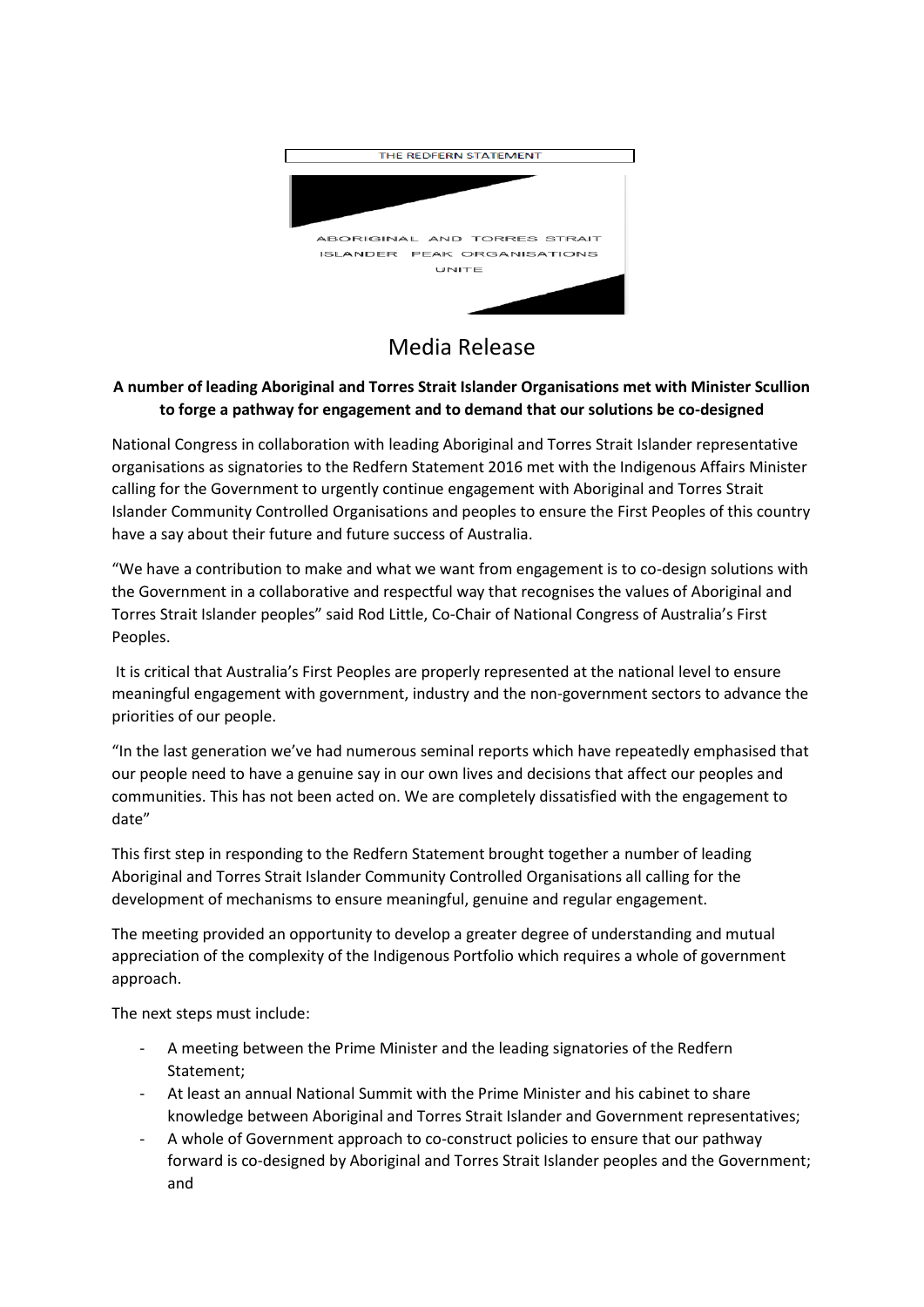

## Media Release

## **A number of leading Aboriginal and Torres Strait Islander Organisations met with Minister Scullion to forge a pathway for engagement and to demand that our solutions be co-designed**

National Congress in collaboration with leading Aboriginal and Torres Strait Islander representative organisations as signatories to the Redfern Statement 2016 met with the Indigenous Affairs Minister calling for the Government to urgently continue engagement with Aboriginal and Torres Strait Islander Community Controlled Organisations and peoples to ensure the First Peoples of this country have a say about their future and future success of Australia.

"We have a contribution to make and what we want from engagement is to co-design solutions with the Government in a collaborative and respectful way that recognises the values of Aboriginal and Torres Strait Islander peoples" said Rod Little, Co-Chair of National Congress of Australia's First Peoples.

It is critical that Australia's First Peoples are properly represented at the national level to ensure meaningful engagement with government, industry and the non-government sectors to advance the priorities of our people.

"In the last generation we've had numerous seminal reports which have repeatedly emphasised that our people need to have a genuine say in our own lives and decisions that affect our peoples and communities. This has not been acted on. We are completely dissatisfied with the engagement to date"

This first step in responding to the Redfern Statement brought together a number of leading Aboriginal and Torres Strait Islander Community Controlled Organisations all calling for the development of mechanisms to ensure meaningful, genuine and regular engagement.

The meeting provided an opportunity to develop a greater degree of understanding and mutual appreciation of the complexity of the Indigenous Portfolio which requires a whole of government approach.

The next steps must include:

- A meeting between the Prime Minister and the leading signatories of the Redfern Statement;
- At least an annual National Summit with the Prime Minister and his cabinet to share knowledge between Aboriginal and Torres Strait Islander and Government representatives;
- A whole of Government approach to co-construct policies to ensure that our pathway forward is co-designed by Aboriginal and Torres Strait Islander peoples and the Government; and